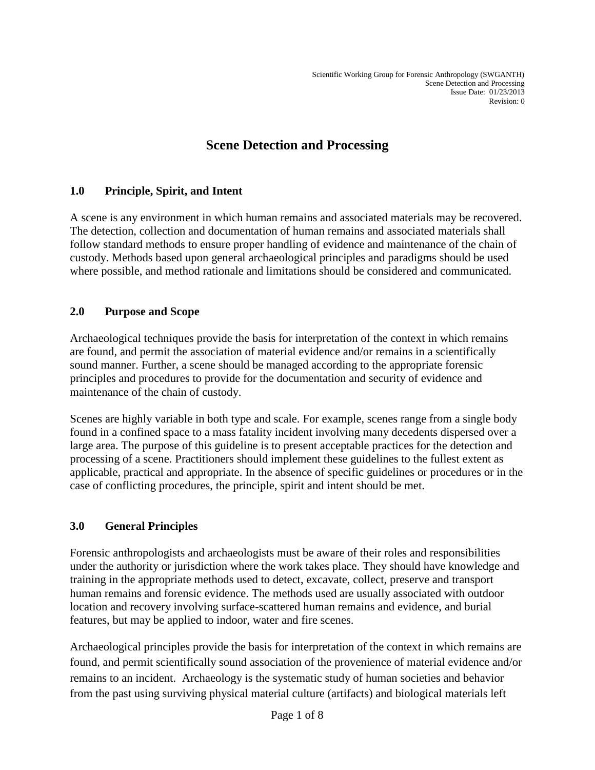# **Scene Detection and Processing**

# **1.0 Principle, Spirit, and Intent**

A scene is any environment in which human remains and associated materials may be recovered. The detection, collection and documentation of human remains and associated materials shall follow standard methods to ensure proper handling of evidence and maintenance of the chain of custody. Methods based upon general archaeological principles and paradigms should be used where possible, and method rationale and limitations should be considered and communicated.

#### **2.0 Purpose and Scope**

Archaeological techniques provide the basis for interpretation of the context in which remains are found, and permit the association of material evidence and/or remains in a scientifically sound manner. Further, a scene should be managed according to the appropriate forensic principles and procedures to provide for the documentation and security of evidence and maintenance of the chain of custody.

Scenes are highly variable in both type and scale. For example, scenes range from a single body found in a confined space to a mass fatality incident involving many decedents dispersed over a large area. The purpose of this guideline is to present acceptable practices for the detection and processing of a scene. Practitioners should implement these guidelines to the fullest extent as applicable, practical and appropriate. In the absence of specific guidelines or procedures or in the case of conflicting procedures, the principle, spirit and intent should be met.

# **3.0 General Principles**

Forensic anthropologists and archaeologists must be aware of their roles and responsibilities under the authority or jurisdiction where the work takes place. They should have knowledge and training in the appropriate methods used to detect, excavate, collect, preserve and transport human remains and forensic evidence. The methods used are usually associated with outdoor location and recovery involving surface-scattered human remains and evidence, and burial features, but may be applied to indoor, water and fire scenes.

Archaeological principles provide the basis for interpretation of the context in which remains are found, and permit scientifically sound association of the provenience of material evidence and/or remains to an incident. Archaeology is the systematic study of human societies and behavior from the past using surviving physical material culture (artifacts) and biological materials left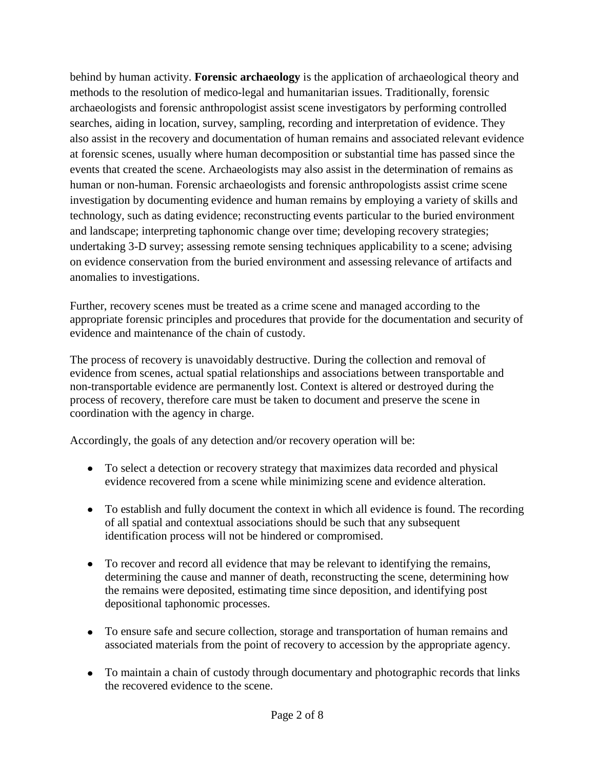behind by human activity. **Forensic archaeology** is the application of archaeological theory and methods to the resolution of medico-legal and humanitarian issues. Traditionally, forensic archaeologists and forensic anthropologist assist scene investigators by performing controlled searches, aiding in location, survey, sampling, recording and interpretation of evidence. They also assist in the recovery and documentation of human remains and associated relevant evidence at forensic scenes, usually where human decomposition or substantial time has passed since the events that created the scene. Archaeologists may also assist in the determination of remains as human or non-human. Forensic archaeologists and forensic anthropologists assist crime scene investigation by documenting evidence and human remains by employing a variety of skills and technology, such as dating evidence; reconstructing events particular to the buried environment and landscape; interpreting taphonomic change over time; developing recovery strategies; undertaking 3-D survey; assessing remote sensing techniques applicability to a scene; advising on evidence conservation from the buried environment and assessing relevance of artifacts and anomalies to investigations.

Further, recovery scenes must be treated as a crime scene and managed according to the appropriate forensic principles and procedures that provide for the documentation and security of evidence and maintenance of the chain of custody.

The process of recovery is unavoidably destructive. During the collection and removal of evidence from scenes, actual spatial relationships and associations between transportable and non-transportable evidence are permanently lost. Context is altered or destroyed during the process of recovery, therefore care must be taken to document and preserve the scene in coordination with the agency in charge.

Accordingly, the goals of any detection and/or recovery operation will be:

- To select a detection or recovery strategy that maximizes data recorded and physical evidence recovered from a scene while minimizing scene and evidence alteration.
- To establish and fully document the context in which all evidence is found. The recording of all spatial and contextual associations should be such that any subsequent identification process will not be hindered or compromised.
- To recover and record all evidence that may be relevant to identifying the remains, determining the cause and manner of death, reconstructing the scene, determining how the remains were deposited, estimating time since deposition, and identifying post depositional taphonomic processes.
- To ensure safe and secure collection, storage and transportation of human remains and associated materials from the point of recovery to accession by the appropriate agency.
- To maintain a chain of custody through documentary and photographic records that links the recovered evidence to the scene.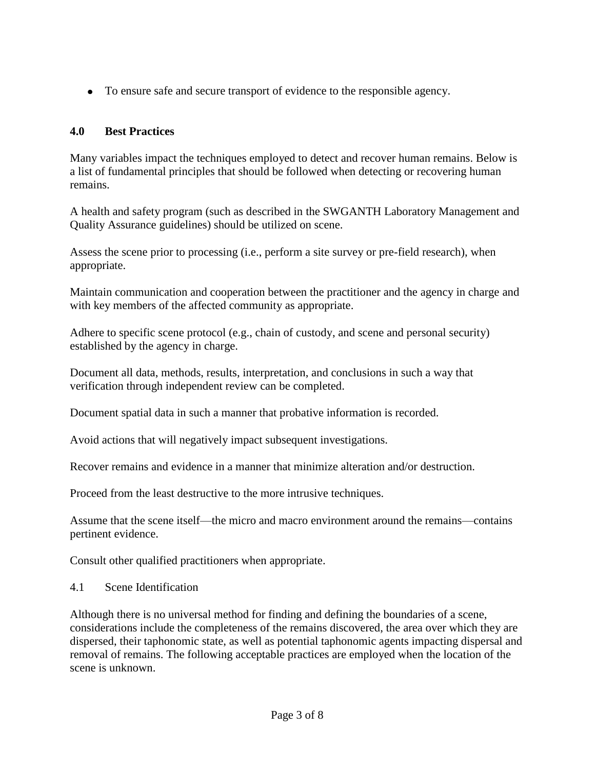To ensure safe and secure transport of evidence to the responsible agency.

# **4.0 Best Practices**

Many variables impact the techniques employed to detect and recover human remains. Below is a list of fundamental principles that should be followed when detecting or recovering human remains.

A health and safety program (such as described in the SWGANTH Laboratory Management and Quality Assurance guidelines) should be utilized on scene.

Assess the scene prior to processing (i.e., perform a site survey or pre-field research), when appropriate.

Maintain communication and cooperation between the practitioner and the agency in charge and with key members of the affected community as appropriate.

Adhere to specific scene protocol (e.g., chain of custody, and scene and personal security) established by the agency in charge.

Document all data, methods, results, interpretation, and conclusions in such a way that verification through independent review can be completed.

Document spatial data in such a manner that probative information is recorded.

Avoid actions that will negatively impact subsequent investigations.

Recover remains and evidence in a manner that minimize alteration and/or destruction.

Proceed from the least destructive to the more intrusive techniques.

Assume that the scene itself—the micro and macro environment around the remains—contains pertinent evidence.

Consult other qualified practitioners when appropriate.

4.1 Scene Identification

Although there is no universal method for finding and defining the boundaries of a scene, considerations include the completeness of the remains discovered, the area over which they are dispersed, their taphonomic state, as well as potential taphonomic agents impacting dispersal and removal of remains. The following acceptable practices are employed when the location of the scene is unknown.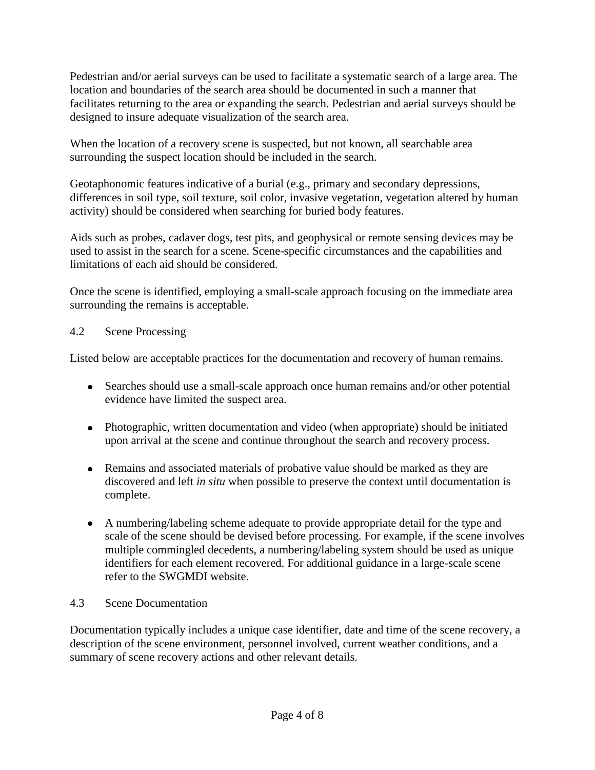Pedestrian and/or aerial surveys can be used to facilitate a systematic search of a large area. The location and boundaries of the search area should be documented in such a manner that facilitates returning to the area or expanding the search. Pedestrian and aerial surveys should be designed to insure adequate visualization of the search area.

When the location of a recovery scene is suspected, but not known, all searchable area surrounding the suspect location should be included in the search.

Geotaphonomic features indicative of a burial (e.g., primary and secondary depressions, differences in soil type, soil texture, soil color, invasive vegetation, vegetation altered by human activity) should be considered when searching for buried body features.

Aids such as probes, cadaver dogs, test pits, and geophysical or remote sensing devices may be used to assist in the search for a scene. Scene-specific circumstances and the capabilities and limitations of each aid should be considered.

Once the scene is identified, employing a small-scale approach focusing on the immediate area surrounding the remains is acceptable.

#### 4.2 Scene Processing

Listed below are acceptable practices for the documentation and recovery of human remains.

- Searches should use a small-scale approach once human remains and/or other potential evidence have limited the suspect area.
- Photographic, written documentation and video (when appropriate) should be initiated upon arrival at the scene and continue throughout the search and recovery process.
- Remains and associated materials of probative value should be marked as they are discovered and left *in situ* when possible to preserve the context until documentation is complete.
- A numbering/labeling scheme adequate to provide appropriate detail for the type and scale of the scene should be devised before processing. For example, if the scene involves multiple commingled decedents, a numbering/labeling system should be used as unique identifiers for each element recovered. For additional guidance in a large-scale scene refer to the SWGMDI website.

# 4.3 Scene Documentation

Documentation typically includes a unique case identifier, date and time of the scene recovery, a description of the scene environment, personnel involved, current weather conditions, and a summary of scene recovery actions and other relevant details.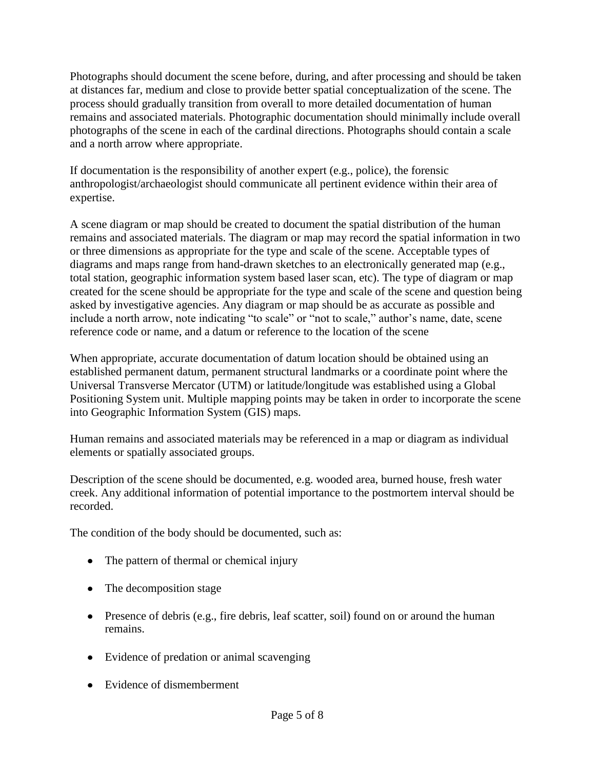Photographs should document the scene before, during, and after processing and should be taken at distances far, medium and close to provide better spatial conceptualization of the scene. The process should gradually transition from overall to more detailed documentation of human remains and associated materials. Photographic documentation should minimally include overall photographs of the scene in each of the cardinal directions. Photographs should contain a scale and a north arrow where appropriate.

If documentation is the responsibility of another expert (e.g., police), the forensic anthropologist/archaeologist should communicate all pertinent evidence within their area of expertise.

A scene diagram or map should be created to document the spatial distribution of the human remains and associated materials. The diagram or map may record the spatial information in two or three dimensions as appropriate for the type and scale of the scene. Acceptable types of diagrams and maps range from hand-drawn sketches to an electronically generated map (e.g., total station, geographic information system based laser scan, etc). The type of diagram or map created for the scene should be appropriate for the type and scale of the scene and question being asked by investigative agencies. Any diagram or map should be as accurate as possible and include a north arrow, note indicating "to scale" or "not to scale," author's name, date, scene reference code or name, and a datum or reference to the location of the scene

When appropriate, accurate documentation of datum location should be obtained using an established permanent datum, permanent structural landmarks or a coordinate point where the Universal Transverse Mercator (UTM) or latitude/longitude was established using a Global Positioning System unit. Multiple mapping points may be taken in order to incorporate the scene into Geographic Information System (GIS) maps.

Human remains and associated materials may be referenced in a map or diagram as individual elements or spatially associated groups.

Description of the scene should be documented, e.g. wooded area, burned house, fresh water creek. Any additional information of potential importance to the postmortem interval should be recorded.

The condition of the body should be documented, such as:

- The pattern of thermal or chemical injury
- The decomposition stage
- Presence of debris (e.g., fire debris, leaf scatter, soil) found on or around the human remains.
- Evidence of predation or animal scavenging
- Evidence of dismemberment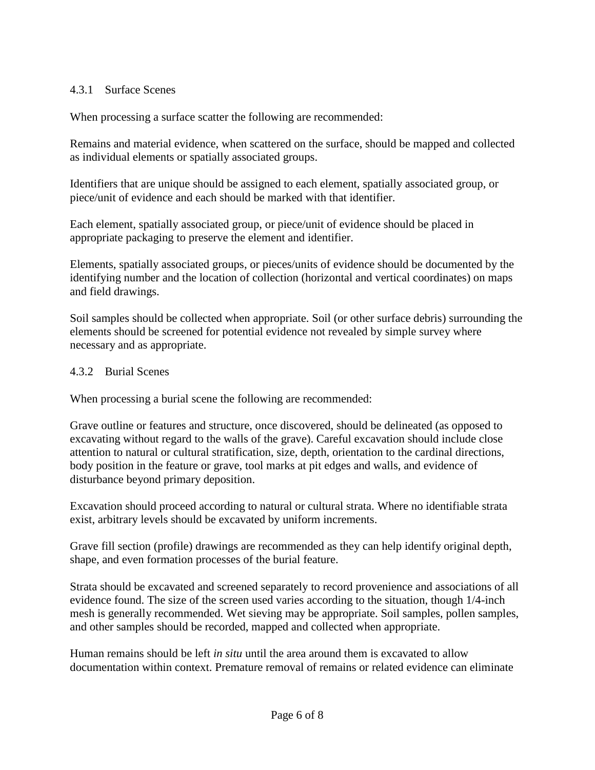#### 4.3.1 Surface Scenes

When processing a surface scatter the following are recommended:

Remains and material evidence, when scattered on the surface, should be mapped and collected as individual elements or spatially associated groups.

Identifiers that are unique should be assigned to each element, spatially associated group, or piece/unit of evidence and each should be marked with that identifier.

Each element, spatially associated group, or piece/unit of evidence should be placed in appropriate packaging to preserve the element and identifier.

Elements, spatially associated groups, or pieces/units of evidence should be documented by the identifying number and the location of collection (horizontal and vertical coordinates) on maps and field drawings.

Soil samples should be collected when appropriate. Soil (or other surface debris) surrounding the elements should be screened for potential evidence not revealed by simple survey where necessary and as appropriate.

#### 4.3.2 Burial Scenes

When processing a burial scene the following are recommended:

Grave outline or features and structure, once discovered, should be delineated (as opposed to excavating without regard to the walls of the grave). Careful excavation should include close attention to natural or cultural stratification, size, depth, orientation to the cardinal directions, body position in the feature or grave, tool marks at pit edges and walls, and evidence of disturbance beyond primary deposition.

Excavation should proceed according to natural or cultural strata. Where no identifiable strata exist, arbitrary levels should be excavated by uniform increments.

Grave fill section (profile) drawings are recommended as they can help identify original depth, shape, and even formation processes of the burial feature.

Strata should be excavated and screened separately to record provenience and associations of all evidence found. The size of the screen used varies according to the situation, though 1/4-inch mesh is generally recommended. Wet sieving may be appropriate. Soil samples, pollen samples, and other samples should be recorded, mapped and collected when appropriate.

Human remains should be left *in situ* until the area around them is excavated to allow documentation within context. Premature removal of remains or related evidence can eliminate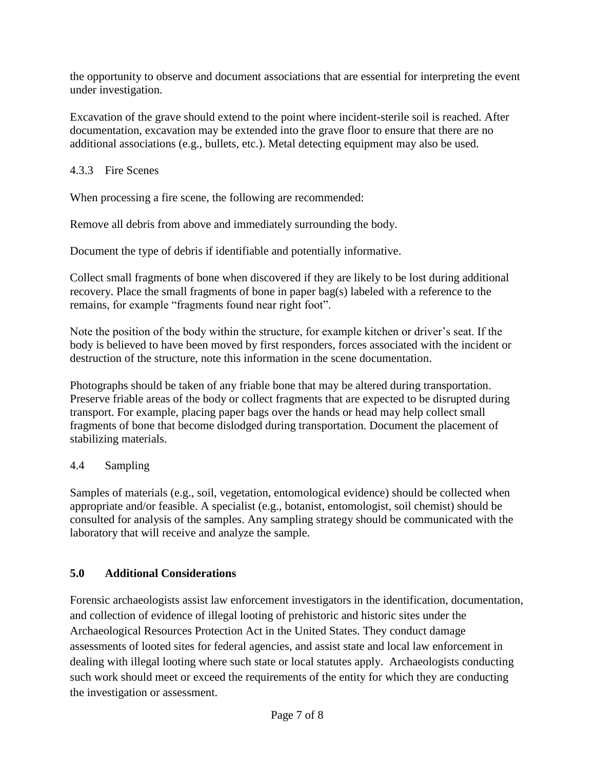the opportunity to observe and document associations that are essential for interpreting the event under investigation.

Excavation of the grave should extend to the point where incident-sterile soil is reached. After documentation, excavation may be extended into the grave floor to ensure that there are no additional associations (e.g., bullets, etc.). Metal detecting equipment may also be used.

# 4.3.3 Fire Scenes

When processing a fire scene, the following are recommended:

Remove all debris from above and immediately surrounding the body.

Document the type of debris if identifiable and potentially informative.

Collect small fragments of bone when discovered if they are likely to be lost during additional recovery. Place the small fragments of bone in paper bag(s) labeled with a reference to the remains, for example "fragments found near right foot".

Note the position of the body within the structure, for example kitchen or driver's seat. If the body is believed to have been moved by first responders, forces associated with the incident or destruction of the structure, note this information in the scene documentation.

Photographs should be taken of any friable bone that may be altered during transportation. Preserve friable areas of the body or collect fragments that are expected to be disrupted during transport. For example, placing paper bags over the hands or head may help collect small fragments of bone that become dislodged during transportation. Document the placement of stabilizing materials.

# 4.4 Sampling

Samples of materials (e.g., soil, vegetation, entomological evidence) should be collected when appropriate and/or feasible. A specialist (e.g., botanist, entomologist, soil chemist) should be consulted for analysis of the samples. Any sampling strategy should be communicated with the laboratory that will receive and analyze the sample.

# **5.0 Additional Considerations**

Forensic archaeologists assist law enforcement investigators in the identification, documentation, and collection of evidence of illegal looting of prehistoric and historic sites under the Archaeological Resources Protection Act in the United States. They conduct damage assessments of looted sites for federal agencies, and assist state and local law enforcement in dealing with illegal looting where such state or local statutes apply. Archaeologists conducting such work should meet or exceed the requirements of the entity for which they are conducting the investigation or assessment.